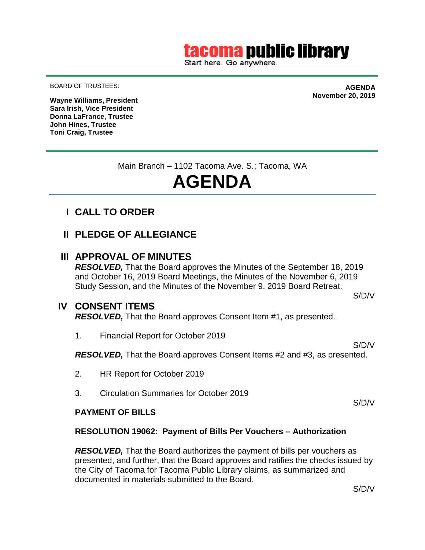## tacoma public library

Start here. Go anywhere.

BOARD OF TRUSTEES:

**AGENDA November 20, 2019**

**Wayne Williams, President Sara Irish, Vice President Donna LaFrance, Trustee John Hines, Trustee Toni Craig, Trustee**

Main Branch – 1102 Tacoma Ave. S.; Tacoma, WA

# **AGENDA**

- **I CALL TO ORDER**
- **II PLEDGE OF ALLEGIANCE**

#### **III APPROVAL OF MINUTES**

*RESOLVED,* That the Board approves the Minutes of the September 18, 2019 and October 16, 2019 Board Meetings, the Minutes of the November 6, 2019 Study Session, and the Minutes of the November 9, 2019 Board Retreat.

#### **IV CONSENT ITEMS**

*RESOLVED,* That the Board approves Consent Item #1, as presented.

1. Financial Report for October 2019

*RESOLVED,* That the Board approves Consent Items #2 and #3, as presented.

- 2. HR Report for October 2019
- 3. Circulation Summaries for October 2019

#### **PAYMENT OF BILLS**

#### **RESOLUTION 19062: Payment of Bills Per Vouchers – Authorization**

*RESOLVED*, That the Board authorizes the payment of bills per vouchers as presented, and further, that the Board approves and ratifies the checks issued by the City of Tacoma for Tacoma Public Library claims, as summarized and documented in materials submitted to the Board.

S/D/V

S/D/V

S/D/V

S/D/V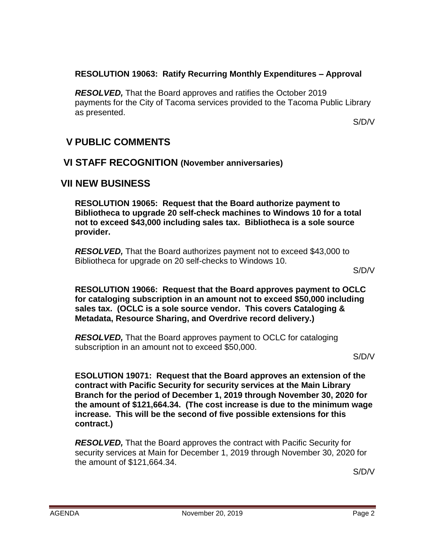#### **RESOLUTION 19063: Ratify Recurring Monthly Expenditures – Approval**

*RESOLVED,* That the Board approves and ratifies the October 2019 payments for the City of Tacoma services provided to the Tacoma Public Library as presented.

S/D/V

## **V PUBLIC COMMENTS**

### **VI STAFF RECOGNITION (November anniversaries)**

## **VII NEW BUSINESS**

**RESOLUTION 19065: Request that the Board authorize payment to Bibliotheca to upgrade 20 self-check machines to Windows 10 for a total not to exceed \$43,000 including sales tax. Bibliotheca is a sole source provider.**

*RESOLVED,* That the Board authorizes payment not to exceed \$43,000 to Bibliotheca for upgrade on 20 self-checks to Windows 10.

S/D/V

**RESOLUTION 19066: Request that the Board approves payment to OCLC for cataloging subscription in an amount not to exceed \$50,000 including sales tax. (OCLC is a sole source vendor. This covers Cataloging & Metadata, Resource Sharing, and Overdrive record delivery.)**

*RESOLVED,* That the Board approves payment to OCLC for cataloging subscription in an amount not to exceed \$50,000.

S/D/V

**ESOLUTION 19071: Request that the Board approves an extension of the contract with Pacific Security for security services at the Main Library Branch for the period of December 1, 2019 through November 30, 2020 for the amount of \$121,664.34. (The cost increase is due to the minimum wage increase. This will be the second of five possible extensions for this contract.)**

*RESOLVED,* That the Board approves the contract with Pacific Security for security services at Main for December 1, 2019 through November 30, 2020 for the amount of \$121,664.34.

S/D/V